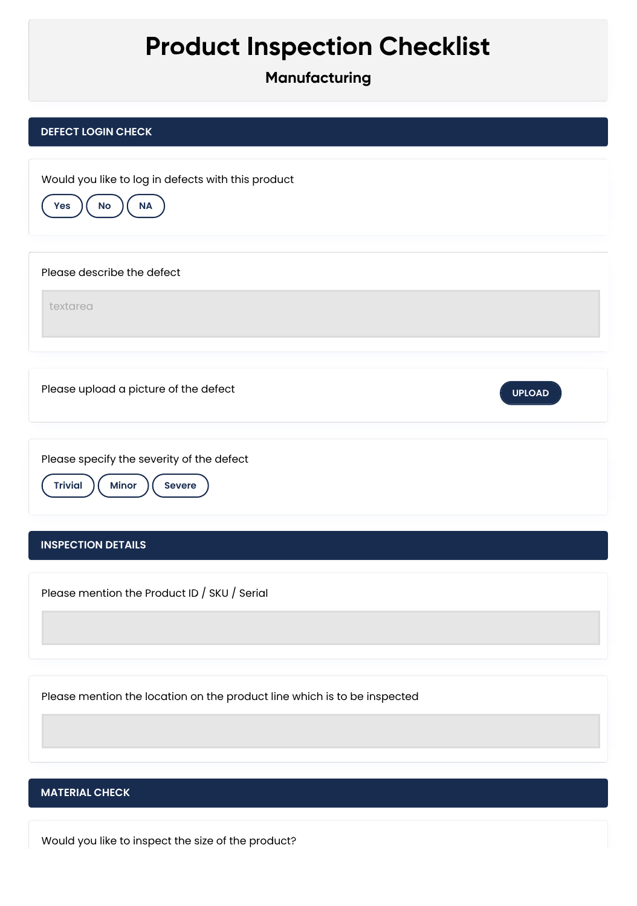# **Product Inspection Checklist**

**Manufacturing**

# **DEFECT LOGIN CHECK INSPECTION DETAILS** Would you like to log in defects with this product **Yes**  $)($  **No**  $)($  **NA** Please describe the defect textarea Please upload a picture of the defect **UPLOAD** Please specify the severity of the defect **Trivial** ) ( Minor ) ( Severe Please mention the Product ID / SKU / Serial Please mention the location on the product line which is to be inspected

## **MATERIAL CHECK**

Would you like to inspect the size of the product?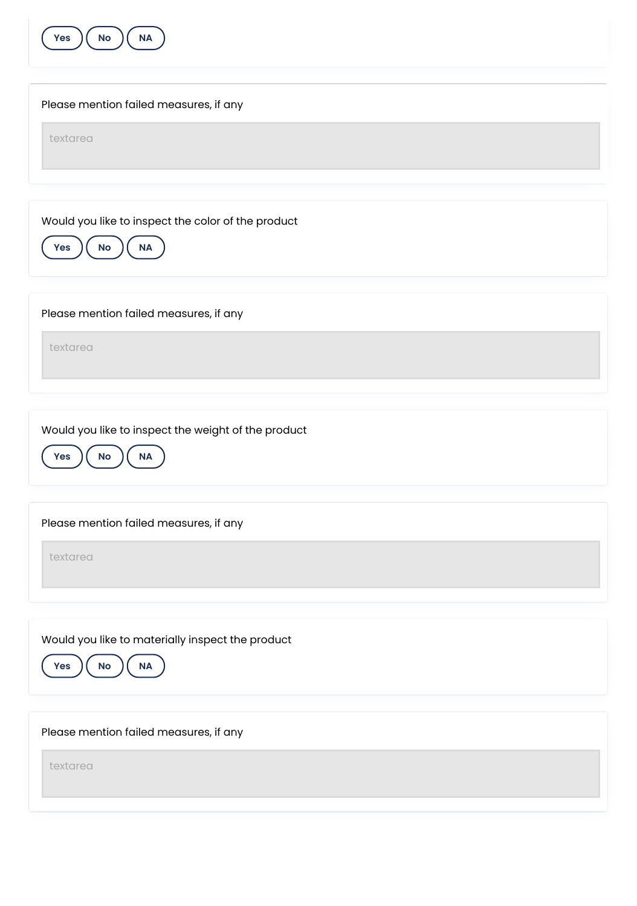

| Please mention failed measures, if any                                                  |
|-----------------------------------------------------------------------------------------|
| textarea                                                                                |
|                                                                                         |
| Would you like to inspect the color of the product<br>$\mathsf{No}$<br><b>NA</b><br>Yes |
| Please mention failed measures, if any                                                  |
| textarea                                                                                |
| Would you like to inspect the weight of the product                                     |
| $\mathsf{No}$<br>$\sf NA$<br>Yes                                                        |
| Please mention failed measures, if any                                                  |
| textarea                                                                                |
|                                                                                         |
| Would you like to materially inspect the product<br><b>NA</b><br>Yes<br>No              |

Please mention failed measures, if any

textarea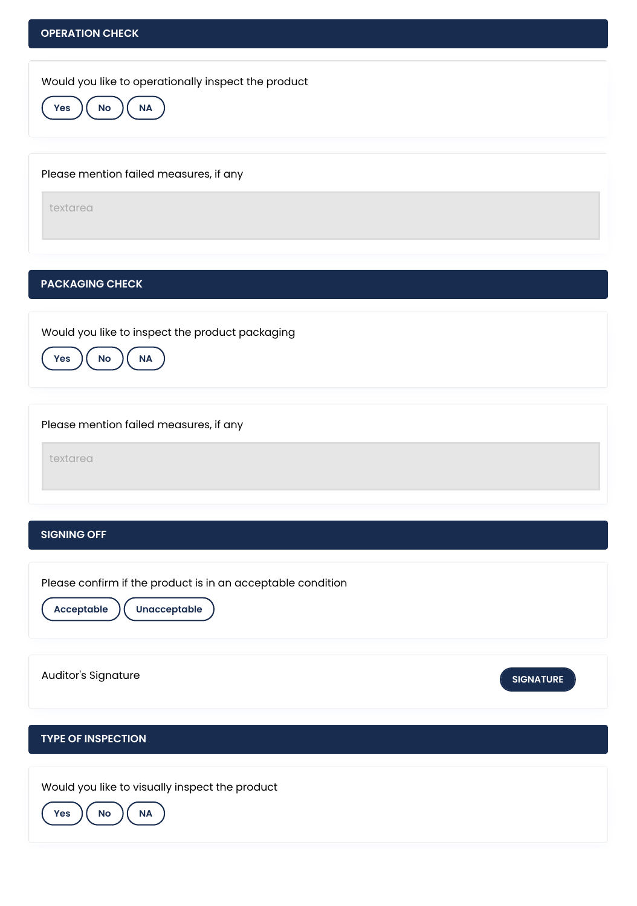

### **PACKAGING CHECK**

Would you like to inspect the product packaging



Please mention failed measures, if any

textarea

#### **SIGNING OFF**

**TYPE OF INSPECTION** Please confirm if the product is in an acceptable condition **Acceptable Unacceptable** Auditor's Signature **SIGNATURE** Would you like to visually inspect the product **Yes**  $\left(\begin{array}{c} \mathsf{No} \end{array}\right)$  **NA**